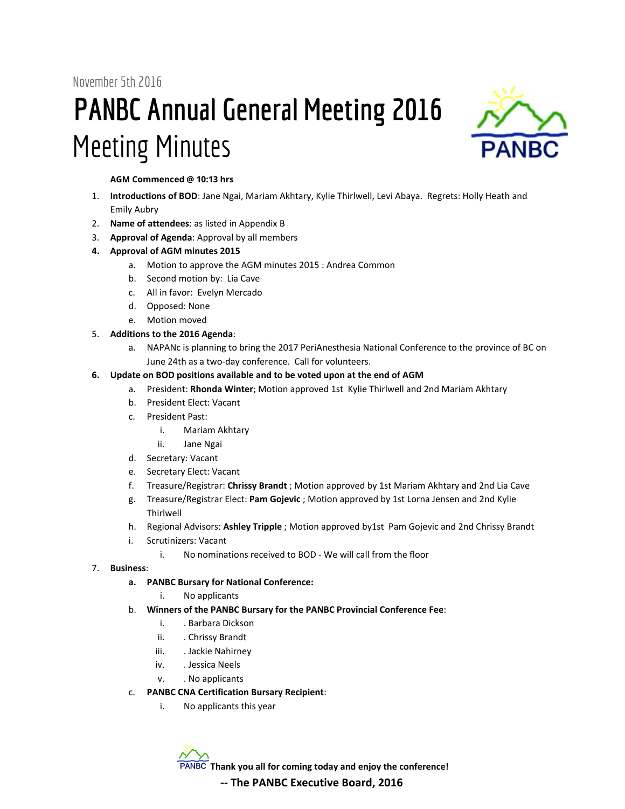November 5th 2016

# **PANBC Annual General Meeting 2016** Meeting Minutes



**AGM Commenced @ 10:13 hrs**

- 1. **Introductions of BOD**: Jane Ngai, Mariam Akhtary, Kylie Thirlwell, Levi Abaya. Regrets: Holly Heath and Emily Aubry
- 2. **Name of attendees**: as listed in Appendix B
- 3. **Approval of Agenda**: Approval by all members
- **4. Approval of AGM minutes 2015**
	- a. Motion to approve the AGM minutes 2015 : Andrea Common
		- b. Second motion by: Lia Cave
		- c. All in favor: Evelyn Mercado
		- d. Opposed: None
		- e. Motion moved

#### 5. **Additions to the 2016 Agenda**:

a. NAPANc is planning to bring the 2017 PeriAnesthesia National Conference to the province of BC on June 24th as a two-day conference. Call for volunteers.

#### **6. Update on BOD positions available and to be voted upon at the end of AGM**

- a. President: **Rhonda Winter**; Motion approved 1st Kylie Thirlwell and 2nd Mariam Akhtary
- b. President Elect: Vacant
- c. President Past:
	- i. Mariam Akhtary
	- ii. Jane Ngai
- d. Secretary: Vacant
- e. Secretary Elect: Vacant
- f. Treasure/Registrar: **Chrissy Brandt** ; Motion approved by 1st Mariam Akhtary and 2nd Lia Cave
- g. Treasure/Registrar Elect: **Pam Gojevic** ; Motion approved by 1st Lorna Jensen and 2nd Kylie Thirlwell
- h. Regional Advisors: **Ashley Tripple** ; Motion approved by1st Pam Gojevic and 2nd Chrissy Brandt
- i. Scrutinizers: Vacant
	- i. No nominations received to BOD We will call from the floor

#### 7. **Business**:

- **a. PANBC Bursary for National Conference:**
	- i. No applicants
- b. **Winners of the PANBC Bursary for the PANBC Provincial Conference Fee**:
	- i. . Barbara Dickson
	- ii. Chrissy Brandt
	- iii. Jackie Nahirney
	- iv. . Jessica Neels
	- v. . No applicants
- c. **PANBC CNA Certification Bursary Recipient**:
	- i. No applicants this year

**Thank you all for coming today and enjoy the conference!**

#### **-- The PANBC Executive Board, 2016**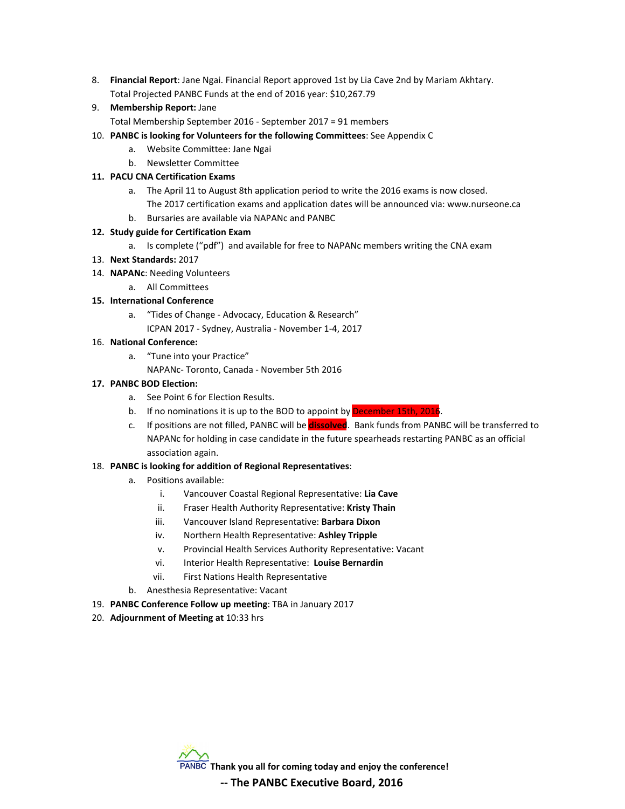- 8. **Financial Report**: Jane Ngai. Financial Report approved 1st by Lia Cave 2nd by Mariam Akhtary. Total Projected PANBC Funds at the end of 2016 year: \$10,267.79
- 9. **Membership Report:** Jane

Total Membership September 2016 - September 2017 = 91 members

- 10. **PANBC is looking for Volunteers for the following Committees**: See Appendix C
	- a. Website Committee: Jane Ngai
	- b. Newsletter Committee

#### **11. PACU CNA Certification Exams**

- a. The April 11 to August 8th application period to write the 2016 exams is now closed.
	- The 2017 certification exams and application dates will be announced via: www.nurseone.ca

b. Bursaries are available via NAPANc and PANBC

#### **12. Study guide for Certification Exam**

a. Is complete ("pdf") and available for free to NAPANc members writing the CNA exam

#### 13. **Next Standards:** 2017

- 14. **NAPANc**: Needing Volunteers
	- a. All Committees

#### **15. International Conference**

a. "Tides of Change - Advocacy, Education & Research" ICPAN 2017 - Sydney, Australia - November 1-4, 2017

#### 16. **National Conference:**

a. "Tune into your Practice"

NAPANc- Toronto, Canada - November 5th 2016

#### **17. PANBC BOD Election:**

- a. See Point 6 for Election Results.
- b. If no nominations it is up to the BOD to appoint by December 15th, 2016.
- c. If positions are not filled, PANBC will be **dissolved**. Bank funds from PANBC will be transferred to NAPANc for holding in case candidate in the future spearheads restarting PANBC as an official association again.

#### 18. **PANBC is looking for addition of Regional Representatives**:

- a. Positions available:
	- i. Vancouver Coastal Regional Representative: **Lia Cave**
	- ii. Fraser Health Authority Representative: **Kristy Thain**
	- iii. Vancouver Island Representative: **Barbara Dixon**
	- iv. Northern Health Representative: **Ashley Tripple**
	- v. Provincial Health Services Authority Representative: Vacant
	- vi. Interior Health Representative: **Louise Bernardin**
	- vii. First Nations Health Representative
- b. Anesthesia Representative: Vacant
- 19. **PANBC Conference Follow up meeting**: TBA in January 2017
- 20. **Adjournment of Meeting at** 10:33 hrs



**-- The PANBC Executive Board, 2016**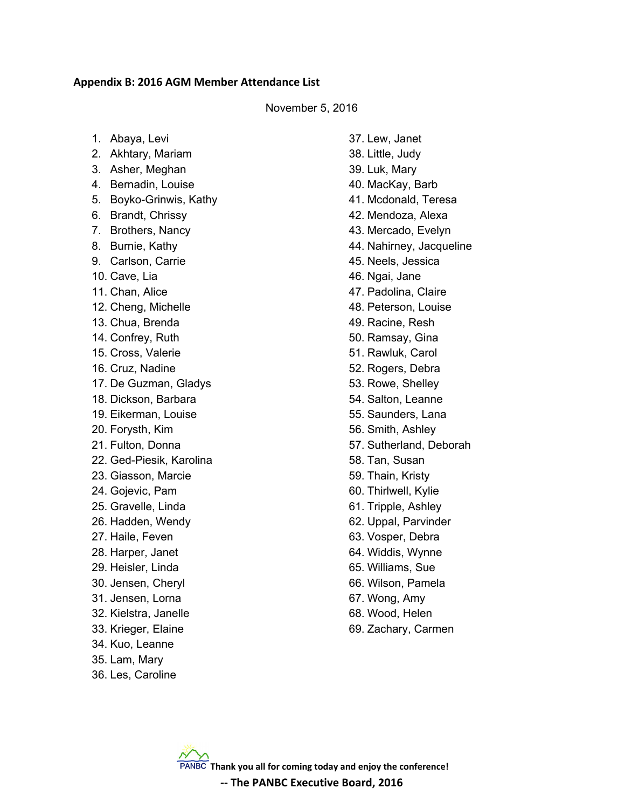#### **Appendix B: 2016 AGM Member Attendance List**

#### November 5, 2016

| 1. Abaya, Levi |  |
|----------------|--|
|----------------|--|

- 2. Akhtary, Mariam
- 3. Asher, Meghan
- 4. Bernadin, Louise
- 5. Boyko-Grinwis, Kathy
- 6. Brandt, Chrissy
- 7. Brothers, Nancy
- 8. Burnie, Kathy
- 9. Carlson, Carrie
- 10. Cave, Lia
- 11. Chan, Alice
- 12. Cheng, Michelle
- 13. Chua, Brenda
- 14. Confrey, Ruth
- 15. Cross, Valerie
- 16. Cruz, Nadine
- 17. De Guzman, Gladys
- 18. Dickson, Barbara
- 19. Eikerman, Louise
- 20. Forysth, Kim
- 21. Fulton, Donna
- 22. Ged-Piesik, Karolina
- 23. Giasson, Marcie
- 24. Gojevic, Pam
- 25. Gravelle, Linda
- 26. Hadden, Wendy
- 27. Haile, Feven
- 28. Harper, Janet
- 29. Heisler, Linda
- 30. Jensen, Cheryl
- 31. Jensen, Lorna
- 32. Kielstra, Janelle
- 33. Krieger, Elaine
- 34. Kuo, Leanne
- 35. Lam, Mary
- 36. Les, Caroline

37. Lew, Janet 38. Little, Judy 39. Luk, Mary 40. MacKay, Barb 41. Mcdonald, Teresa 42. Mendoza, Alexa 43. Mercado, Evelyn 44. Nahirney, Jacqueline 45. Neels, Jessica 46. Ngai, Jane 47. Padolina, Claire 48. Peterson, Louise 49. Racine, Resh 50. Ramsay, Gina 51. Rawluk, Carol 52. Rogers, Debra 53. Rowe, Shelley 54. Salton, Leanne 55. Saunders, Lana 56. Smith, Ashley 57. Sutherland, Deborah 58. Tan, Susan 59. Thain, Kristy 60. Thirlwell, Kylie 61. Tripple, Ashley 62. Uppal, Parvinder 63. Vosper, Debra 64. Widdis, Wynne 65. Williams, Sue 66. Wilson, Pamela

- 67. Wong, Amy
- 68. Wood, Helen
- 69. Zachary, Carmen

**Thank you all for coming today and enjoy the conference! -- The PANBC Executive Board, 2016**